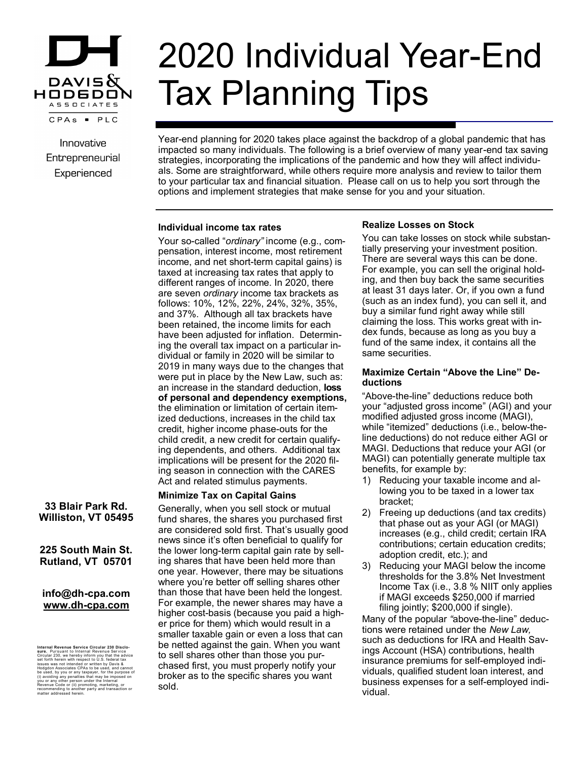

Innovative Entrepreneurial Experienced

# 2020 Individual Year-End Tax Planning Tips

Year-end planning for 2020 takes place against the backdrop of a global pandemic that has impacted so many individuals. The following is a brief overview of many year-end tax saving strategies, incorporating the implications of the pandemic and how they will affect individuals. Some are straightforward, while others require more analysis and review to tailor them to your particular tax and financial situation. Please call on us to help you sort through the options and implement strategies that make sense for you and your situation.

#### **Individual income tax rates**

Your so-called "*ordinary"* income (e.g., compensation, interest income, most retirement income, and net short-term capital gains) is taxed at increasing tax rates that apply to different ranges of income. In 2020, there are seven *ordinary* income tax brackets as follows: 10%, 12%, 22%, 24%, 32%, 35%, and 37%. Although all tax brackets have been retained, the income limits for each have been adjusted for inflation. Determining the overall tax impact on a particular individual or family in 2020 will be similar to 2019 in many ways due to the changes that were put in place by the New Law, such as: an increase in the standard deduction, **loss of personal and dependency exemptions,** the elimination or limitation of certain itemized deductions, increases in the child tax credit, higher income phase-outs for the child credit, a new credit for certain qualifying dependents, and others. Additional tax implications will be present for the 2020 filing season in connection with the CARES Act and related stimulus payments.

# **Minimize Tax on Capital Gains**

Generally, when you sell stock or mutual fund shares, the shares you purchased first are considered sold first. That's usually good news since it's often beneficial to qualify for the lower long-term capital gain rate by selling shares that have been held more than one year. However, there may be situations where you're better off selling shares other than those that have been held the longest. For example, the newer shares may have a higher cost-basis (because you paid a higher price for them) which would result in a smaller taxable gain or even a loss that can be netted against the gain. When you want to sell shares other than those you purchased first, you must properly notify your broker as to the specific shares you want sold.

# **Realize Losses on Stock**

You can take losses on stock while substantially preserving your investment position. There are several ways this can be done. For example, you can sell the original holding, and then buy back the same securities at least 31 days later. Or, if you own a fund (such as an index fund), you can sell it, and buy a similar fund right away while still claiming the loss. This works great with index funds, because as long as you buy a fund of the same index, it contains all the same securities.

#### **Maximize Certain "Above the Line" Deductions**

"Above-the-line" deductions reduce both your "adjusted gross income" (AGI) and your modified adjusted gross income (MAGI), while "itemized" deductions (i.e., below-theline deductions) do not reduce either AGI or MAGI. Deductions that reduce your AGI (or MAGI) can potentially generate multiple tax benefits, for example by:

- 1) Reducing your taxable income and allowing you to be taxed in a lower tax bracket;
- 2) Freeing up deductions (and tax credits) that phase out as your AGI (or MAGI) increases (e.g., child credit; certain IRA contributions; certain education credits; adoption credit, etc.); and
- 3) Reducing your MAGI below the income thresholds for the 3.8% Net Investment Income Tax (i.e., 3.8 % NIIT only applies if MAGI exceeds \$250,000 if married filing jointly; \$200,000 if single).

Many of the popular *"*above-the-line" deductions were retained under the *New Law,*  such as deductions for IRA and Health Savings Account (HSA) contributions, health insurance premiums for self-employed individuals, qualified student loan interest, and business expenses for a self-employed individual.

# **33 Blair Park Rd. Williston, VT 05495**

# **225 South Main St. Rutland, VT 05701**

# **info@dh-cpa.com www.dh-cpa.com**

Internal Revenue Service Circular 230 Disclo-<br>stare. Pursuant to Internal Revenue Service<br>stare. Pursuant to Internal Revenue Service<br>issues was not Intended or written by Davis &<br>Resussings and Intended or written by Davi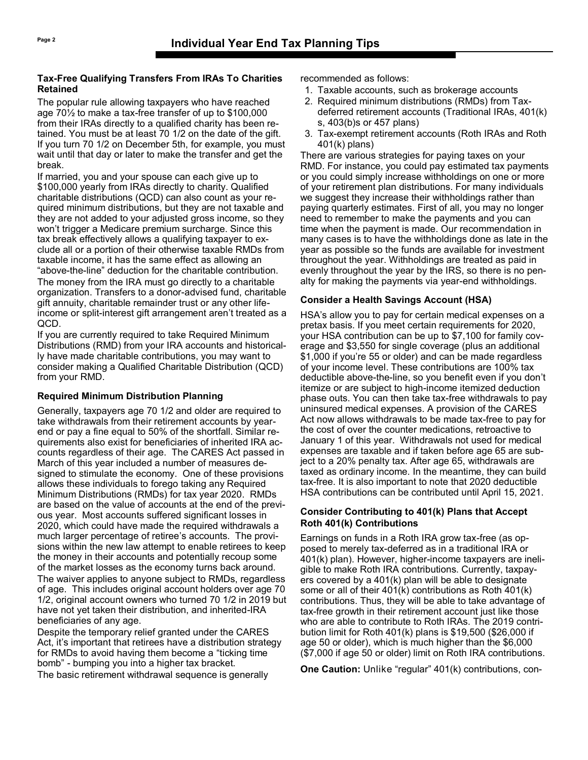#### **Tax-Free Qualifying Transfers From IRAs To Charities Retained**

The popular rule allowing taxpayers who have reached age 70½ to make a tax-free transfer of up to \$100,000 from their IRAs directly to a qualified charity has been retained. You must be at least 70 1/2 on the date of the gift. If you turn 70 1/2 on December 5th, for example, you must wait until that day or later to make the transfer and get the break.

If married, you and your spouse can each give up to \$100,000 yearly from IRAs directly to charity. Qualified charitable distributions (QCD) can also count as your required minimum distributions, but they are not taxable and they are not added to your adjusted gross income, so they won't trigger a Medicare premium surcharge. Since this tax break effectively allows a qualifying taxpayer to exclude all or a portion of their otherwise taxable RMDs from taxable income, it has the same effect as allowing an "above-the-line" deduction for the charitable contribution. The money from the IRA must go directly to a charitable organization. Transfers to a donor-advised fund, charitable gift annuity, charitable remainder trust or any other lifeincome or split-interest gift arrangement aren't treated as a QCD.

If you are currently required to take Required Minimum Distributions (RMD) from your IRA accounts and historically have made charitable contributions, you may want to consider making a Qualified Charitable Distribution (QCD) from your RMD.

# **Required Minimum Distribution Planning**

Generally, taxpayers age 70 1/2 and older are required to take withdrawals from their retirement accounts by yearend or pay a fine equal to 50% of the shortfall. Similar requirements also exist for beneficiaries of inherited IRA accounts regardless of their age. The CARES Act passed in March of this year included a number of measures designed to stimulate the economy. One of these provisions allows these individuals to forego taking any Required Minimum Distributions (RMDs) for tax year 2020. RMDs are based on the value of accounts at the end of the previous year. Most accounts suffered significant losses in 2020, which could have made the required withdrawals a much larger percentage of retiree's accounts. The provisions within the new law attempt to enable retirees to keep the money in their accounts and potentially recoup some of the market losses as the economy turns back around. The waiver applies to anyone subject to RMDs, regardless of age. This includes original account holders over age 70 1/2, original account owners who turned 70 1/2 in 2019 but have not yet taken their distribution, and inherited-IRA beneficiaries of any age.

Despite the temporary relief granted under the CARES Act, it's important that retirees have a distribution strategy for RMDs to avoid having them become a "ticking time bomb" - bumping you into a higher tax bracket. The basic retirement withdrawal sequence is generally

recommended as follows:

- 1. Taxable accounts, such as brokerage accounts
- 2. Required minimum distributions (RMDs) from Taxdeferred retirement accounts (Traditional IRAs, 401(k) s, 403(b)s or 457 plans)
- 3. Tax-exempt retirement accounts (Roth IRAs and Roth 401(k) plans)

There are various strategies for paying taxes on your RMD. For instance, you could pay estimated tax payments or you could simply increase withholdings on one or more of your retirement plan distributions. For many individuals we suggest they increase their withholdings rather than paying quarterly estimates. First of all, you may no longer need to remember to make the payments and you can time when the payment is made. Our recommendation in many cases is to have the withholdings done as late in the year as possible so the funds are available for investment throughout the year. Withholdings are treated as paid in evenly throughout the year by the IRS, so there is no penalty for making the payments via year-end withholdings.

# **Consider a Health Savings Account (HSA)**

HSA's allow you to pay for certain medical expenses on a pretax basis. If you meet certain requirements for 2020, your HSA contribution can be up to \$7,100 for family coverage and \$3,550 for single coverage (plus an additional \$1,000 if you're 55 or older) and can be made regardless of your income level. These contributions are 100% tax deductible above-the-line, so you benefit even if you don't itemize or are subject to high-income itemized deduction phase outs. You can then take tax-free withdrawals to pay uninsured medical expenses. A provision of the CARES Act now allows withdrawals to be made tax-free to pay for the cost of over the counter medications, retroactive to January 1 of this year. Withdrawals not used for medical expenses are taxable and if taken before age 65 are subject to a 20% penalty tax. After age 65, withdrawals are taxed as ordinary income. In the meantime, they can build tax-free. It is also important to note that 2020 deductible HSA contributions can be contributed until April 15, 2021.

# **Consider Contributing to 401(k) Plans that Accept Roth 401(k) Contributions**

Earnings on funds in a Roth IRA grow tax-free (as opposed to merely tax-deferred as in a traditional IRA or 401(k) plan). However, higher-income taxpayers are ineligible to make Roth IRA contributions. Currently, taxpayers covered by a 401(k) plan will be able to designate some or all of their 401(k) contributions as Roth 401(k) contributions. Thus, they will be able to take advantage of tax-free growth in their retirement account just like those who are able to contribute to Roth IRAs. The 2019 contribution limit for Roth 401(k) plans is \$19,500 (\$26,000 if age 50 or older), which is much higher than the \$6,000 (\$7,000 if age 50 or older) limit on Roth IRA contributions.

**One Caution:** Unlike "regular" 401(k) contributions, con-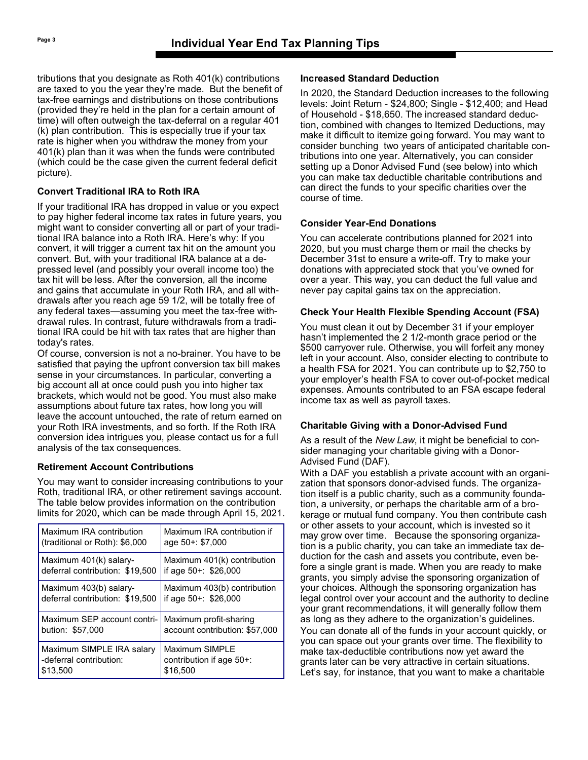tributions that you designate as Roth 401(k) contributions are taxed to you the year they're made. But the benefit of tax-free earnings and distributions on those contributions (provided they're held in the plan for a certain amount of time) will often outweigh the tax-deferral on a regular 401 (k) plan contribution. This is especially true if your tax rate is higher when you withdraw the money from your 401(k) plan than it was when the funds were contributed (which could be the case given the current federal deficit picture).

# **Convert Traditional IRA to Roth IRA**

If your traditional IRA has dropped in value or you expect to pay higher federal income tax rates in future years, you might want to consider converting all or part of your traditional IRA balance into a Roth IRA. Here's why: If you convert, it will trigger a current tax hit on the amount you convert. But, with your traditional IRA balance at a depressed level (and possibly your overall income too) the tax hit will be less. After the conversion, all the income and gains that accumulate in your Roth IRA, and all withdrawals after you reach age 59 1/2, will be totally free of any federal taxes—assuming you meet the tax-free withdrawal rules. In contrast, future withdrawals from a traditional IRA could be hit with tax rates that are higher than today's rates.

Of course, conversion is not a no-brainer. You have to be satisfied that paying the upfront conversion tax bill makes sense in your circumstances. In particular, converting a big account all at once could push you into higher tax brackets, which would not be good. You must also make assumptions about future tax rates, how long you will leave the account untouched, the rate of return earned on your Roth IRA investments, and so forth. If the Roth IRA conversion idea intrigues you, please contact us for a full analysis of the tax consequences.

# **Retirement Account Contributions**

You may want to consider increasing contributions to your Roth, traditional IRA, or other retirement savings account. The table below provides information on the contribution limits for 2020**,** which can be made through April 15, 2021.

| Maximum IRA contribution        | Maximum IRA contribution if    |
|---------------------------------|--------------------------------|
| (traditional or Roth): \$6,000  | age 50+: \$7,000               |
| Maximum 401(k) salary-          | Maximum 401(k) contribution    |
| deferral contribution: \$19,500 | if age 50+: \$26,000           |
| Maximum 403(b) salary-          | Maximum 403(b) contribution    |
| deferral contribution: \$19,500 | if age 50+: \$26,000           |
| Maximum SEP account contri-     | Maximum profit-sharing         |
| bution: \$57,000                | account contribution: \$57,000 |
| Maximum SIMPLE IRA salary       | Maximum SIMPLE                 |
| -deferral contribution:         | contribution if age 50+:       |
| \$13,500                        | \$16,500                       |

# **Increased Standard Deduction**

In 2020, the Standard Deduction increases to the following levels: Joint Return - \$24,800; Single - \$12,400; and Head of Household - \$18,650. The increased standard deduction, combined with changes to Itemized Deductions, may make it difficult to itemize going forward. You may want to consider bunching two years of anticipated charitable contributions into one year. Alternatively, you can consider setting up a Donor Advised Fund (see below) into which you can make tax deductible charitable contributions and can direct the funds to your specific charities over the course of time.

# **Consider Year-End Donations**

You can accelerate contributions planned for 2021 into 2020, but you must charge them or mail the checks by December 31st to ensure a write-off. Try to make your donations with appreciated stock that you've owned for over a year. This way, you can deduct the full value and never pay capital gains tax on the appreciation.

# **Check Your Health Flexible Spending Account (FSA)**

You must clean it out by December 31 if your employer hasn't implemented the 2 1/2-month grace period or the \$500 carryover rule. Otherwise, you will forfeit any money left in your account. Also, consider electing to contribute to a health FSA for 2021. You can contribute up to \$2,750 to your employer's health FSA to cover out-of-pocket medical expenses. Amounts contributed to an FSA escape federal income tax as well as payroll taxes.

# **Charitable Giving with a Donor-Advised Fund**

As a result of the *New Law*, it might be beneficial to consider managing your charitable giving with a Donor-Advised Fund (DAF).

With a DAF you establish a private account with an organization that sponsors donor-advised funds. The organization itself is a public charity, such as a community foundation, a university, or perhaps the charitable arm of a brokerage or mutual fund company. You then contribute cash or other assets to your account, which is invested so it may grow over time. Because the sponsoring organization is a public charity, you can take an immediate tax deduction for the cash and assets you contribute, even before a single grant is made. When you are ready to make grants, you simply advise the sponsoring organization of your choices. Although the sponsoring organization has legal control over your account and the authority to decline your grant recommendations, it will generally follow them as long as they adhere to the organization's guidelines. You can donate all of the funds in your account quickly, or you can space out your grants over time. The flexibility to make tax-deductible contributions now yet award the grants later can be very attractive in certain situations. Let's say, for instance, that you want to make a charitable